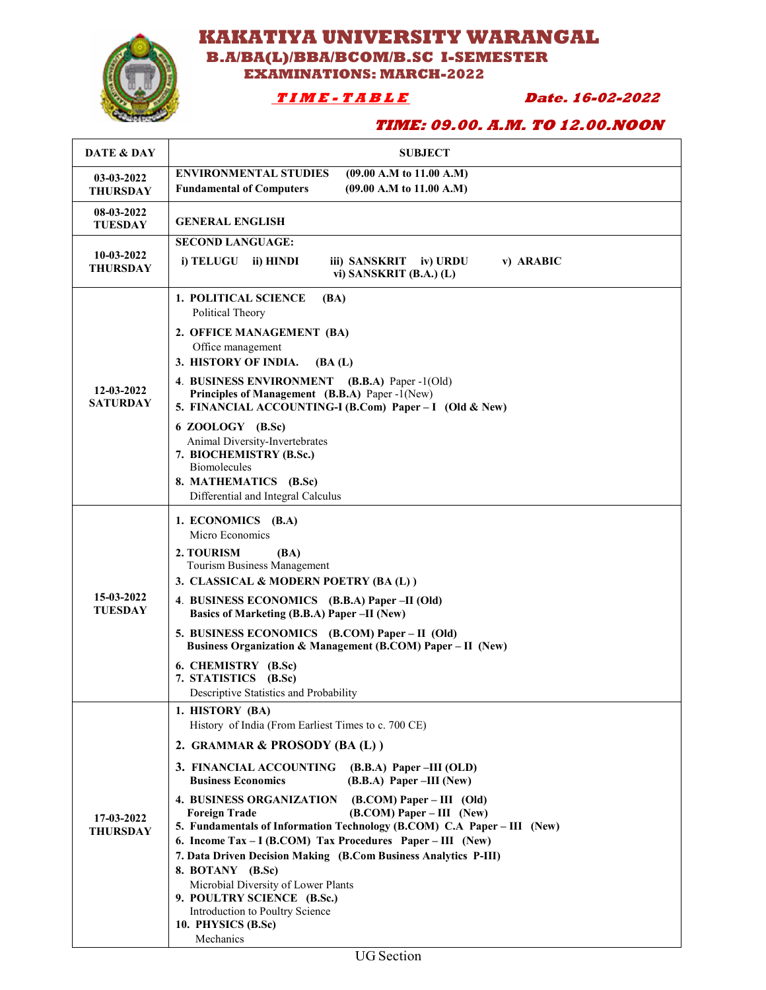

## **KAKATIYA UNIVERSITY WARANGAL B.A/BA(L)/BBA/BCOM/B.SC I-SEMESTER EXAMINATIONS: MARCH-2022**

 **T I M E - T A B L E Date. 16-02-2022** 

## **TIME: 09.00. A.M. TO 12.00.NOON**

| DATE & DAY                    | <b>SUBJECT</b>                                                                                                                                                                                                                                                                                                                                                                                                                                                                                                                                                                                                                                                                                                                    |
|-------------------------------|-----------------------------------------------------------------------------------------------------------------------------------------------------------------------------------------------------------------------------------------------------------------------------------------------------------------------------------------------------------------------------------------------------------------------------------------------------------------------------------------------------------------------------------------------------------------------------------------------------------------------------------------------------------------------------------------------------------------------------------|
| 03-03-2022<br><b>THURSDAY</b> | <b>ENVIRONMENTAL STUDIES</b><br>(09.00 A.M to 11.00 A.M)<br>(09.00 A.M to 11.00 A.M)<br><b>Fundamental of Computers</b>                                                                                                                                                                                                                                                                                                                                                                                                                                                                                                                                                                                                           |
| 08-03-2022<br><b>TUESDAY</b>  | <b>GENERAL ENGLISH</b>                                                                                                                                                                                                                                                                                                                                                                                                                                                                                                                                                                                                                                                                                                            |
| 10-03-2022<br><b>THURSDAY</b> | <b>SECOND LANGUAGE:</b><br>i) TELUGU<br>ii) HINDI<br>iii) SANSKRIT<br>iv) URDU<br>v) ARABIC<br>vi) SANSKRIT $(B.A.) (L)$                                                                                                                                                                                                                                                                                                                                                                                                                                                                                                                                                                                                          |
| 12-03-2022<br><b>SATURDAY</b> | <b>1. POLITICAL SCIENCE</b><br>(BA)<br>Political Theory<br>2. OFFICE MANAGEMENT (BA)<br>Office management<br>3. HISTORY OF INDIA.<br>(BA(L))<br>4. BUSINESS ENVIRONMENT (B.B.A) Paper -1(Old)<br>Principles of Management (B.B.A) Paper -1(New)<br>5. FINANCIAL ACCOUNTING-I (B.Com) Paper - I (Old & New)<br>6 ZOOLOGY (B.Sc)<br>Animal Diversity-Invertebrates<br>7. BIOCHEMISTRY (B.Sc.)<br><b>Biomolecules</b><br>8. MATHEMATICS (B.Sc)<br>Differential and Integral Calculus                                                                                                                                                                                                                                                 |
| 15-03-2022<br><b>TUESDAY</b>  | 1. ECONOMICS (B.A)<br>Micro Economics<br>2. TOURISM<br>(BA)<br>Tourism Business Management<br>3. CLASSICAL & MODERN POETRY (BA(L))<br>4. BUSINESS ECONOMICS (B.B.A) Paper -II (Old)<br>Basics of Marketing (B.B.A) Paper -II (New)<br>5. BUSINESS ECONOMICS (B.COM) Paper – II (Old)<br>Business Organization & Management (B.COM) Paper – II (New)<br>6. CHEMISTRY (B.Sc)<br>7. STATISTICS (B.Sc)<br>Descriptive Statistics and Probability                                                                                                                                                                                                                                                                                      |
| 17-03-2022<br><b>THURSDAY</b> | 1. HISTORY (BA)<br>History of India (From Earliest Times to c. 700 CE)<br>2. GRAMMAR & PROSODY (BA (L))<br>3. FINANCIAL ACCOUNTING<br>$(B.B.A)$ Paper –III (OLD)<br><b>Business Economics</b><br>$(B.B.A)$ Paper –III (New)<br><b>4. BUSINESS ORGANIZATION</b><br>$(B. COM) Paper - III$ (Old)<br>$(B. COM) Paper - III (New)$<br><b>Foreign Trade</b><br>5. Fundamentals of Information Technology (B.COM) C.A Paper - III (New)<br>6. Income Tax – I (B.COM) Tax Procedures Paper – III (New)<br>7. Data Driven Decision Making (B.Com Business Analytics P-III)<br>8. BOTANY (B.Sc)<br>Microbial Diversity of Lower Plants<br>9. POULTRY SCIENCE (B.Sc.)<br>Introduction to Poultry Science<br>10. PHYSICS (B.Sc)<br>Mechanics |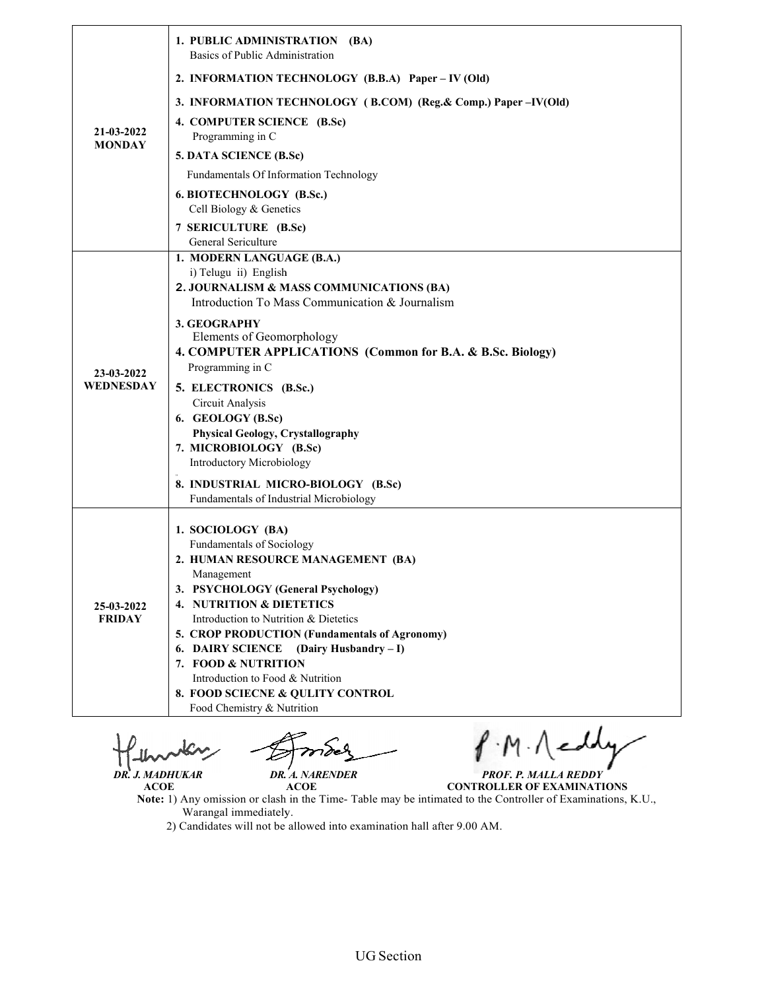| 21-03-2022<br><b>MONDAY</b> | 1. PUBLIC ADMINISTRATION (BA)<br>Basics of Public Administration                                                                                                                                                                                                                                                                         |
|-----------------------------|------------------------------------------------------------------------------------------------------------------------------------------------------------------------------------------------------------------------------------------------------------------------------------------------------------------------------------------|
|                             | 2. INFORMATION TECHNOLOGY (B.B.A) Paper – IV (Old)                                                                                                                                                                                                                                                                                       |
|                             | 3. INFORMATION TECHNOLOGY (B.COM) (Reg. & Comp.) Paper –IV(Old)                                                                                                                                                                                                                                                                          |
|                             | 4. COMPUTER SCIENCE (B.Sc)<br>Programming in C                                                                                                                                                                                                                                                                                           |
|                             | 5. DATA SCIENCE (B.Sc)                                                                                                                                                                                                                                                                                                                   |
|                             | Fundamentals Of Information Technology                                                                                                                                                                                                                                                                                                   |
|                             | 6. BIOTECHNOLOGY (B.Sc.)<br>Cell Biology & Genetics                                                                                                                                                                                                                                                                                      |
|                             | 7 SERICULTURE (B.Sc)<br>General Sericulture                                                                                                                                                                                                                                                                                              |
| 23-03-2022<br>WEDNESDAY     | 1. MODERN LANGUAGE (B.A.)<br>i) Telugu ii) English<br>2. JOURNALISM & MASS COMMUNICATIONS (BA)<br>Introduction To Mass Communication & Journalism                                                                                                                                                                                        |
|                             | 3. GEOGRAPHY<br>Elements of Geomorphology<br>4. COMPUTER APPLICATIONS (Common for B.A. & B.Sc. Biology)<br>Programming in C                                                                                                                                                                                                              |
|                             | 5. ELECTRONICS (B.Sc.)<br>Circuit Analysis<br>6. GEOLOGY (B.Sc)<br><b>Physical Geology, Crystallography</b><br>7. MICROBIOLOGY (B.Sc)<br>Introductory Microbiology                                                                                                                                                                       |
|                             | 8. INDUSTRIAL MICRO-BIOLOGY (B.Sc)<br>Fundamentals of Industrial Microbiology                                                                                                                                                                                                                                                            |
| 25-03-2022<br><b>FRIDAY</b> | 1. SOCIOLOGY (BA)<br>Fundamentals of Sociology<br>2. HUMAN RESOURCE MANAGEMENT (BA)<br>Management<br>3. PSYCHOLOGY (General Psychology)<br>4. NUTRITION & DIETETICS<br>Introduction to Nutrition & Dietetics<br>5. CROP PRODUCTION (Fundamentals of Agronomy)<br>(Dairy Husbandry – I)<br><b>6. DAIRY SCIENCE</b><br>7. FOOD & NUTRITION |
|                             | Introduction to Food & Nutrition<br>8. FOOD SCIECNE & QULITY CONTROL<br>Food Chemistry & Nutrition                                                                                                                                                                                                                                       |

T

*MADHUKAR PROF. P. MALLA REDDY* **CONTROLLER OF EXAMINATIONS**

 *DR. J. MADHUKAR DR. A. NARENDER*  **ACOE ACOE**

- **Note:** 1) Any omission or clash in the Time Warangal immediately. or clash in the Time- Table may be intimated to the Controller of Examinations, K.U.,
- Warangal immediately.<br>2) Candidates will not be allowed into examination hall after 9.00 AM.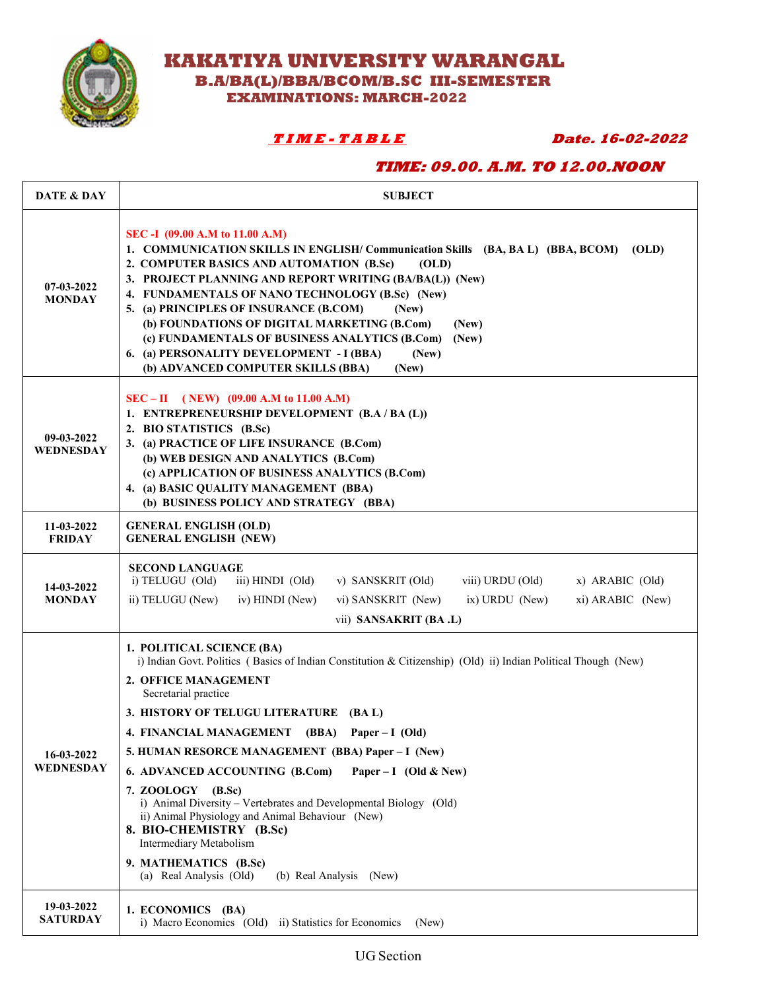

 **KAKATIYA UNIVERSITY WARANGAL**

 **B.A/BA(L)/BBA/BCOM/B.SC III-SEMESTER** 

 **EXAMINATIONS: MARCH-2022** 

# **T I M E - T A B L E Date. 16-02-2022**

## **TIME: 09.00. A.M. TO 12.00.NOON**

| DATE & DAY                     | <b>SUBJECT</b>                                                                                                                                                                                                                                                                                                                                                                                                                                                                                                                                                                                                                                                                            |
|--------------------------------|-------------------------------------------------------------------------------------------------------------------------------------------------------------------------------------------------------------------------------------------------------------------------------------------------------------------------------------------------------------------------------------------------------------------------------------------------------------------------------------------------------------------------------------------------------------------------------------------------------------------------------------------------------------------------------------------|
| $07-03-2022$<br><b>MONDAY</b>  | SEC -I (09.00 A.M to 11.00 A.M)<br>1. COMMUNICATION SKILLS IN ENGLISH/ Communication Skills (BA, BA L) (BBA, BCOM)<br>(OLD)<br>2. COMPUTER BASICS AND AUTOMATION (B.Sc)<br>(OLD)<br>3. PROJECT PLANNING AND REPORT WRITING (BA/BA(L)) (New)<br>4. FUNDAMENTALS OF NANO TECHNOLOGY (B.Sc) (New)<br>5. (a) PRINCIPLES OF INSURANCE (B.COM)<br>(New)<br>(b) FOUNDATIONS OF DIGITAL MARKETING (B.Com)<br>(New)<br>(c) FUNDAMENTALS OF BUSINESS ANALYTICS (B.Com)<br>(New)<br>6. (a) PERSONALITY DEVELOPMENT - I (BBA)<br>(New)<br>(b) ADVANCED COMPUTER SKILLS (BBA)<br>(New)                                                                                                                 |
| 09-03-2022<br><b>WEDNESDAY</b> | $SEC - II (NEW) (09.00 A.M to 11.00 A.M)$<br>1. ENTREPRENEURSHIP DEVELOPMENT (B.A / BA (L))<br>2. BIO STATISTICS (B.Sc)<br>3. (a) PRACTICE OF LIFE INSURANCE (B.Com)<br>(b) WEB DESIGN AND ANALYTICS (B.Com)<br>(c) APPLICATION OF BUSINESS ANALYTICS (B.Com)<br>4. (a) BASIC QUALITY MANAGEMENT (BBA)<br>(b) BUSINESS POLICY AND STRATEGY (BBA)                                                                                                                                                                                                                                                                                                                                          |
| 11-03-2022<br><b>FRIDAY</b>    | <b>GENERAL ENGLISH (OLD)</b><br><b>GENERAL ENGLISH (NEW)</b>                                                                                                                                                                                                                                                                                                                                                                                                                                                                                                                                                                                                                              |
| 14-03-2022<br><b>MONDAY</b>    | <b>SECOND LANGUAGE</b><br>i) TELUGU (Old)<br>iii) HINDI (Old)<br>v) SANSKRIT (Old)<br>viii) URDU (Old)<br>$x)$ ARABIC (Old)<br>ii) TELUGU (New)<br>iv) HINDI (New)<br>vi) SANSKRIT (New)<br>$ix)$ URDU (New)<br>xi) ARABIC (New)<br>vii) SANSAKRIT (BA .L)                                                                                                                                                                                                                                                                                                                                                                                                                                |
| 16-03-2022<br>WEDNESDAY        | 1. POLITICAL SCIENCE (BA)<br>i) Indian Govt. Politics (Basics of Indian Constitution & Citizenship) (Old) ii) Indian Political Though (New)<br>2. OFFICE MANAGEMENT<br>Secretarial practice<br>3. HISTORY OF TELUGU LITERATURE (BA L)<br>4. FINANCIAL MANAGEMENT (BBA) Paper - I (Old)<br>5. HUMAN RESORCE MANAGEMENT (BBA) Paper – I (New)<br>6. ADVANCED ACCOUNTING (B.Com)<br>Paper – I (Old & New)<br>7. ZOOLOGY (B.Sc)<br>i) Animal Diversity – Vertebrates and Developmental Biology (Old)<br>ii) Animal Physiology and Animal Behaviour (New)<br>8. BIO-CHEMISTRY (B.Sc)<br>Intermediary Metabolism<br>9. MATHEMATICS (B.Sc)<br>(a) Real Analysis (Old)<br>(b) Real Analysis (New) |
| 19-03-2022<br><b>SATURDAY</b>  | 1. ECONOMICS (BA)<br>i) Macro Economics (Old) ii) Statistics for Economics<br>(New)                                                                                                                                                                                                                                                                                                                                                                                                                                                                                                                                                                                                       |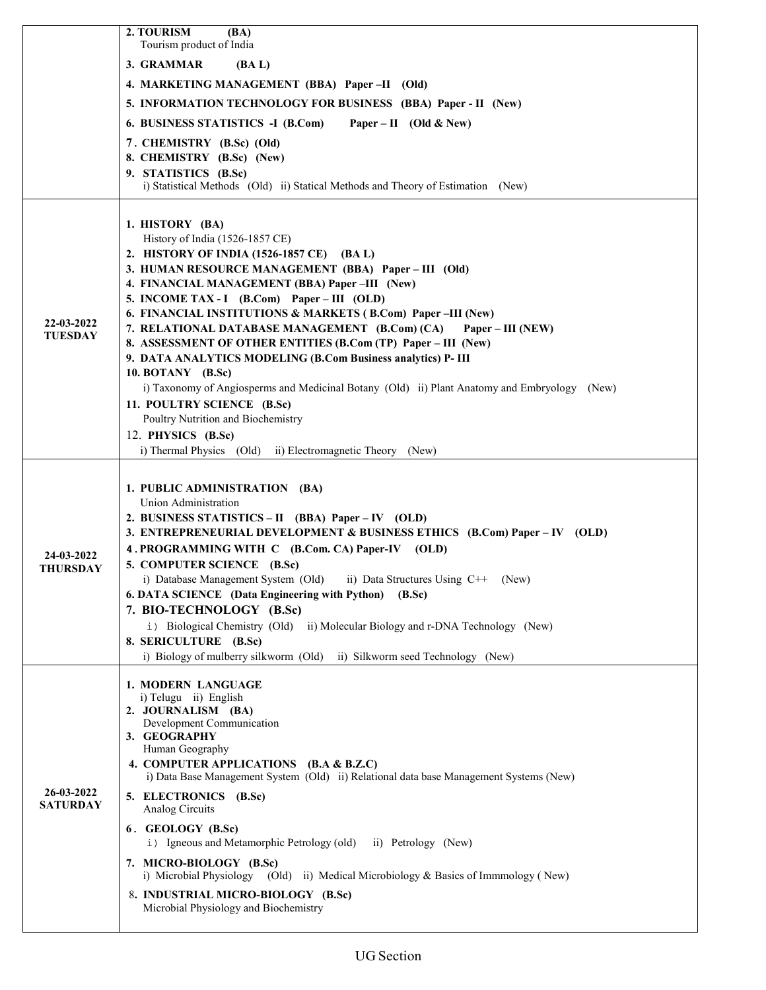|                               | 2. TOURISM<br>(BA)<br>Tourism product of India                                                                                     |
|-------------------------------|------------------------------------------------------------------------------------------------------------------------------------|
|                               | 3. GRAMMAR<br>(BA L)                                                                                                               |
|                               | 4. MARKETING MANAGEMENT (BBA) Paper-II (Old)                                                                                       |
|                               | 5. INFORMATION TECHNOLOGY FOR BUSINESS (BBA) Paper - II (New)                                                                      |
|                               | 6. BUSINESS STATISTICS -I (B.Com)<br>Paper – II (Old & New)                                                                        |
|                               | 7. CHEMISTRY (B.Sc) (Old)                                                                                                          |
|                               | 8. CHEMISTRY (B.Sc) (New)                                                                                                          |
|                               | 9. STATISTICS (B.Sc)<br>i) Statistical Methods (Old) ii) Statical Methods and Theory of Estimation (New)                           |
|                               |                                                                                                                                    |
|                               | 1. HISTORY (BA)                                                                                                                    |
|                               | History of India (1526-1857 CE)                                                                                                    |
|                               | 2. HISTORY OF INDIA (1526-1857 CE) (BA L)                                                                                          |
|                               | 3. HUMAN RESOURCE MANAGEMENT (BBA) Paper - III (Old)<br>4. FINANCIAL MANAGEMENT (BBA) Paper -III (New)                             |
|                               | 5. INCOME TAX - I (B.Com) Paper – III (OLD)                                                                                        |
|                               | 6. FINANCIAL INSTITUTIONS & MARKETS (B.Com) Paper-III (New)                                                                        |
| 22-03-2022<br><b>TUESDAY</b>  | 7. RELATIONAL DATABASE MANAGEMENT (B.Com) (CA)<br>Paper – III (NEW)                                                                |
|                               | 8. ASSESSMENT OF OTHER ENTITIES (B.Com (TP) Paper - III (New)                                                                      |
|                               | 9. DATA ANALYTICS MODELING (B.Com Business analytics) P- III                                                                       |
|                               | 10. BOTANY (B.Sc)<br>i) Taxonomy of Angiosperms and Medicinal Botany (Old) ii) Plant Anatomy and Embryology (New)                  |
|                               | 11. POULTRY SCIENCE (B.Sc)                                                                                                         |
|                               | Poultry Nutrition and Biochemistry                                                                                                 |
|                               | 12. PHYSICS (B.Sc)                                                                                                                 |
|                               | i) Thermal Physics (Old) ii) Electromagnetic Theory (New)                                                                          |
|                               | 1. PUBLIC ADMINISTRATION (BA)                                                                                                      |
|                               | Union Administration                                                                                                               |
|                               | 2. BUSINESS STATISTICS – II (BBA) Paper – IV (OLD)                                                                                 |
|                               | 3. ENTREPRENEURIAL DEVELOPMENT & BUSINESS ETHICS (B.Com) Paper - IV (OLD)                                                          |
| 24-03-2022                    | 4. PROGRAMMING WITH C (B.Com. CA) Paper-IV (OLD)                                                                                   |
| <b>THURSDAY</b>               | 5. COMPUTER SCIENCE (B.Sc)                                                                                                         |
|                               | i) Database Management System (Old) ii) Data Structures Using $C++$ (New)<br>6. DATA SCIENCE (Data Engineering with Python) (B.Sc) |
|                               | 7. BIO-TECHNOLOGY (B.Sc)                                                                                                           |
|                               | i) Biological Chemistry (Old) ii) Molecular Biology and r-DNA Technology (New)                                                     |
|                               | 8. SERICULTURE (B.Sc)                                                                                                              |
|                               | i) Biology of mulberry silkworm (Old) ii) Silkworm seed Technology (New)                                                           |
|                               | 1. MODERN LANGUAGE                                                                                                                 |
|                               | i) Telugu ii) English<br>2. JOURNALISM (BA)                                                                                        |
|                               | Development Communication                                                                                                          |
| 26-03-2022<br><b>SATURDAY</b> | 3. GEOGRAPHY                                                                                                                       |
|                               | Human Geography<br>4. COMPUTER APPLICATIONS (B.A & B.Z.C)                                                                          |
|                               | i) Data Base Management System (Old) ii) Relational data base Management Systems (New)                                             |
|                               | 5. ELECTRONICS (B.Sc)                                                                                                              |
|                               | Analog Circuits                                                                                                                    |
|                               | 6. GEOLOGY (B.Sc)<br>i) Igneous and Metamorphic Petrology (old) ii) Petrology (New)                                                |
|                               | 7. MICRO-BIOLOGY (B.Sc)<br>i) Microbial Physiology (Old) ii) Medical Microbiology & Basics of Immmology (New)                      |
|                               | 8. INDUSTRIAL MICRO-BIOLOGY (B.Sc)                                                                                                 |
|                               | Microbial Physiology and Biochemistry                                                                                              |
|                               |                                                                                                                                    |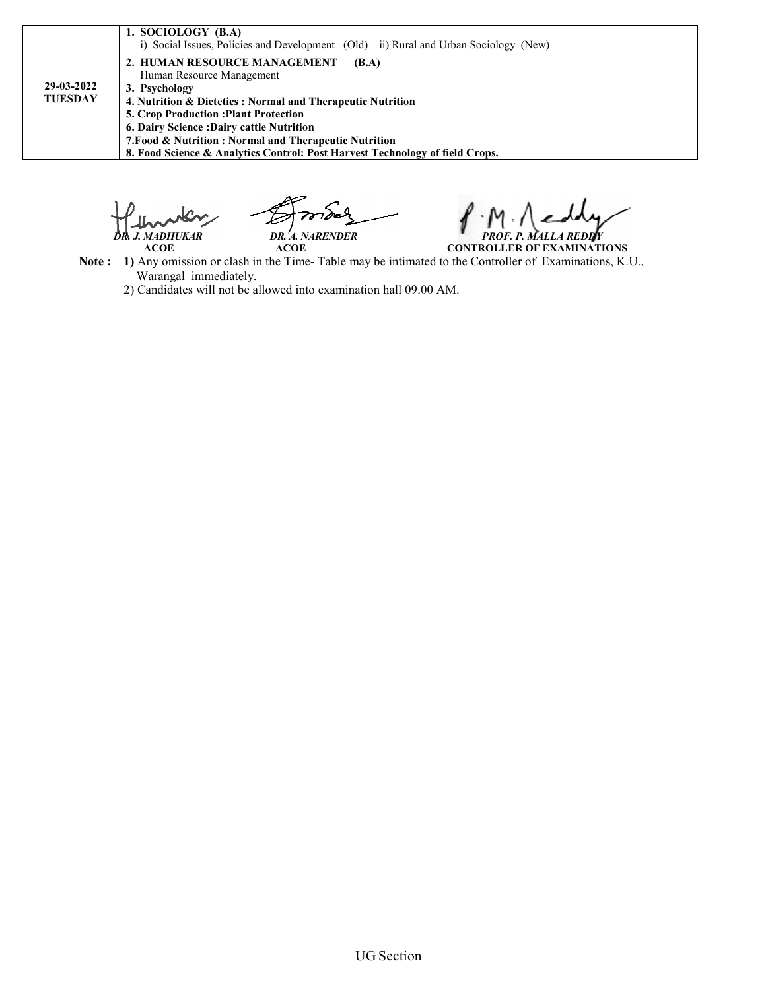|                              | 1. SOCIOLOGY (B.A)<br>i) Social Issues, Policies and Development (Old) ii) Rural and Urban Sociology (New)                                                                                                                                                                                                                                                                            |
|------------------------------|---------------------------------------------------------------------------------------------------------------------------------------------------------------------------------------------------------------------------------------------------------------------------------------------------------------------------------------------------------------------------------------|
| 29-03-2022<br><b>TUESDAY</b> | 2. HUMAN RESOURCE MANAGEMENT<br>(B.A)<br>Human Resource Management<br>3. Psychology<br>4. Nutrition & Dietetics: Normal and Therapeutic Nutrition<br><b>5. Crop Production: Plant Protection</b><br>6. Dairy Science: Dairy cattle Nutrition<br>7. Food & Nutrition: Normal and Therapeutic Nutrition<br>8. Food Science & Analytics Control: Post Harvest Technology of field Crops. |

 *DR. J. MADHUKAR DR. A. NARENDER*

 **ACOE ACOE Note :** 1) Any omission or clash in the Time- Table may be intimated to the Controller of Examinations, K.U., Warangal immediately. *MADHUKAR PROF. P. MALLA REDDY*<br>ACOE **ACOE** *PROF. P. MALLA REDDY* **CONTROLLER OF EXAMINATIONS**

2) Candidates will not be allowed into examination hall 09.00 AM.

UG Section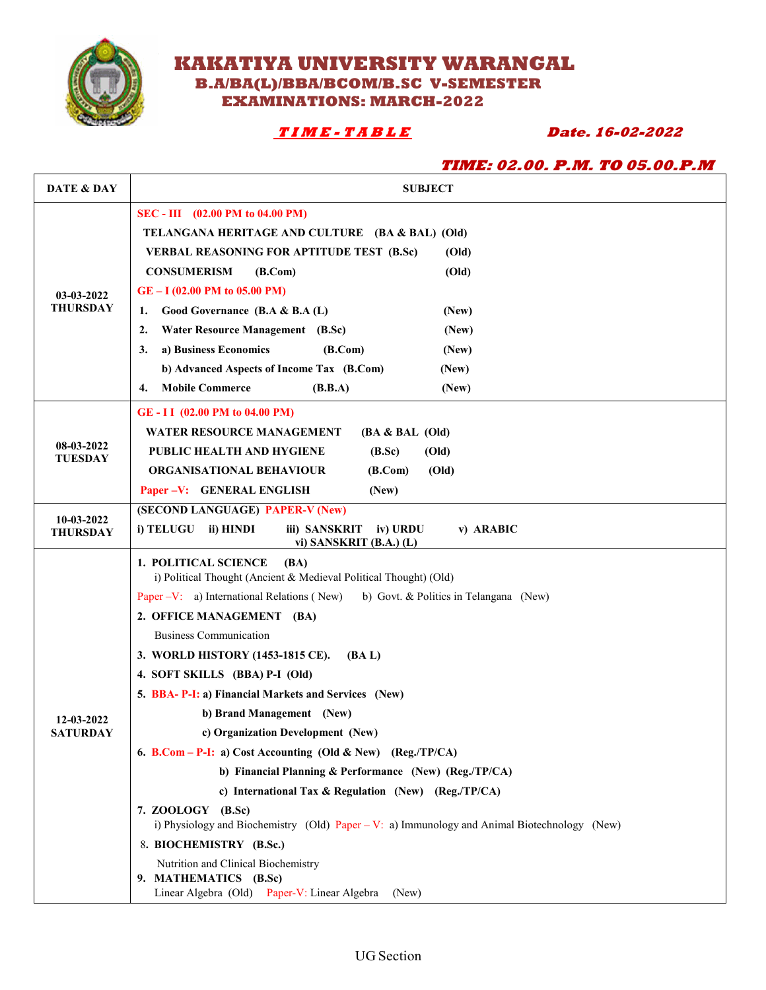

# **KAKATIYA UNIVERSITY WARANGAL B.A/BA(L)/BBA/BCOM/B.SC V-SEMESTER EXAMINATIONS: MARCH-2022**

# **T I M E - T A B L E Date. 16-02-2022**

| <i>TIME: 02.00. P.M. TO 05.00.P.M</i>      |                                                                                                                                                                                                                                                                                                                                                                                                                                                                                                                                                                                                                                                                                                                                                                                                                                                                                                                                     |  |
|--------------------------------------------|-------------------------------------------------------------------------------------------------------------------------------------------------------------------------------------------------------------------------------------------------------------------------------------------------------------------------------------------------------------------------------------------------------------------------------------------------------------------------------------------------------------------------------------------------------------------------------------------------------------------------------------------------------------------------------------------------------------------------------------------------------------------------------------------------------------------------------------------------------------------------------------------------------------------------------------|--|
| DATE & DAY                                 | <b>SUBJECT</b>                                                                                                                                                                                                                                                                                                                                                                                                                                                                                                                                                                                                                                                                                                                                                                                                                                                                                                                      |  |
| 03-03-2022<br><b>THURSDAY</b>              | SEC - III (02.00 PM to 04.00 PM)<br>TELANGANA HERITAGE AND CULTURE (BA & BAL) (Old)<br><b>VERBAL REASONING FOR APTITUDE TEST (B.Sc)</b><br>(Old)<br><b>CONSUMERISM</b><br>(B. Com)<br>(Old)<br>$GE - I (02.00 PM to 05.00 PM)$<br>Good Governance (B.A & B.A (L)<br>1.<br>(New)<br>2.<br><b>Water Resource Management</b> (B.Sc)<br>(New)<br>a) Business Economics<br>3.<br>(B. Com)<br>(New)<br>b) Advanced Aspects of Income Tax (B.Com)<br>(New)<br><b>Mobile Commerce</b><br>(B.B.A)<br>(New)<br>4.                                                                                                                                                                                                                                                                                                                                                                                                                             |  |
| 08-03-2022<br><b>TUESDAY</b><br>10-03-2022 | GE-II (02.00 PM to 04.00 PM)<br><b>WATER RESOURCE MANAGEMENT</b><br>$(BA & BAL$ (Old)<br>PUBLIC HEALTH AND HYGIENE<br>(B.Sc)<br>(Old)<br><b>ORGANISATIONAL BEHAVIOUR</b><br>(B. Com)<br>(Old)<br>Paper -V: GENERAL ENGLISH<br>(New)<br>(SECOND LANGUAGE) PAPER-V (New)<br>i) TELUGU<br>ii) HINDI<br>iii) SANSKRIT<br>iv) URDU<br>v) ARABIC                                                                                                                                                                                                                                                                                                                                                                                                                                                                                                                                                                                          |  |
| <b>THURSDAY</b>                            | vi) SANSKRIT (B.A.) (L)                                                                                                                                                                                                                                                                                                                                                                                                                                                                                                                                                                                                                                                                                                                                                                                                                                                                                                             |  |
| 12-03-2022<br><b>SATURDAY</b>              | <b>1. POLITICAL SCIENCE</b><br>(BA)<br>i) Political Thought (Ancient & Medieval Political Thought) (Old)<br>Paper – V: a) International Relations (New)<br>b) Govt. & Politics in Telangana (New)<br>2. OFFICE MANAGEMENT (BA)<br><b>Business Communication</b><br>3. WORLD HISTORY (1453-1815 CE).<br>(BA L)<br>4. SOFT SKILLS (BBA) P-I (Old)<br>5. BBA- P-I: a) Financial Markets and Services (New)<br>b) Brand Management (New)<br>c) Organization Development (New)<br>6. B.Com – P-I: a) Cost Accounting (Old & New) (Reg./TP/CA)<br>b) Financial Planning & Performance (New) (Reg./TP/CA)<br>c) International Tax & Regulation (New) (Reg./TP/CA)<br>7. ZOOLOGY (B.Sc)<br>i) Physiology and Biochemistry (Old) Paper - V: a) Immunology and Animal Biotechnology (New)<br>8. BIOCHEMISTRY (B.Sc.)<br>Nutrition and Clinical Biochemistry<br>9. MATHEMATICS (B.Sc)<br>Linear Algebra (Old) Paper-V: Linear Algebra<br>(New) |  |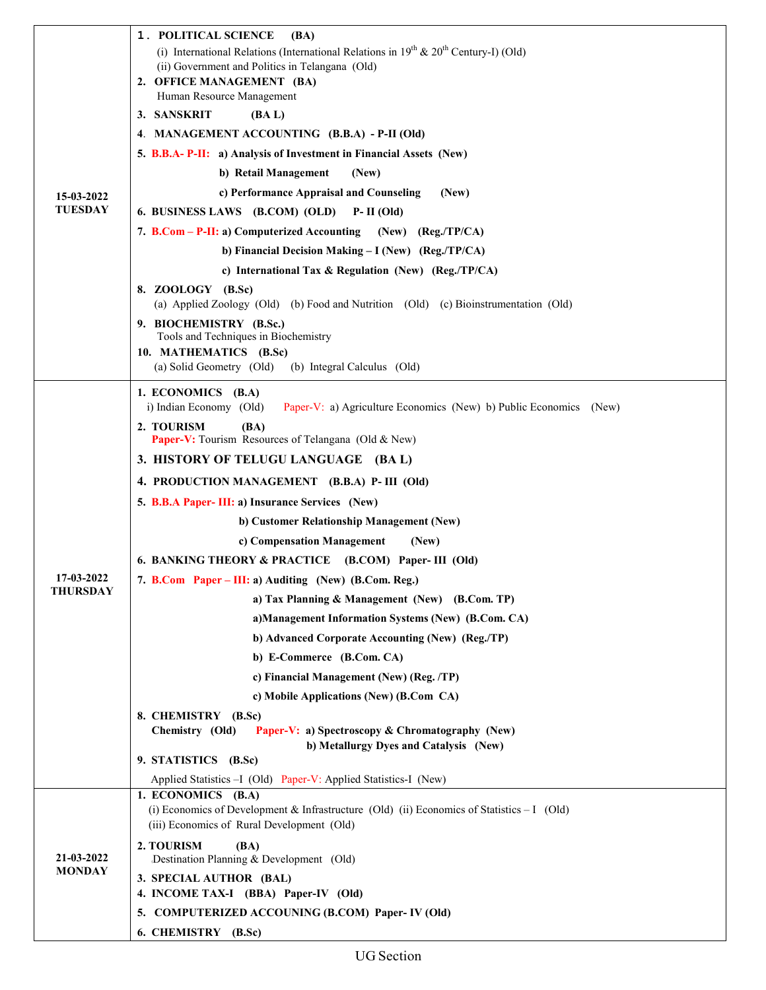|                              | 1. POLITICAL SCIENCE<br><b>(BA)</b><br>(i) International Relations (International Relations in $19^{th}$ & $20^{th}$ Century-I) (Old)<br>(ii) Government and Politics in Telangana (Old)<br>2. OFFICE MANAGEMENT (BA) |
|------------------------------|-----------------------------------------------------------------------------------------------------------------------------------------------------------------------------------------------------------------------|
|                              | Human Resource Management                                                                                                                                                                                             |
|                              | 3. SANSKRIT<br>(BA L)                                                                                                                                                                                                 |
|                              | 4. MANAGEMENT ACCOUNTING (B.B.A) - P-II (Old)                                                                                                                                                                         |
|                              | 5. B.B.A- P-II: a) Analysis of Investment in Financial Assets (New)<br>(New)                                                                                                                                          |
|                              | b) Retail Management                                                                                                                                                                                                  |
| 15-03-2022<br><b>TUESDAY</b> | c) Performance Appraisal and Counseling<br>(New)<br>6. BUSINESS LAWS (B.COM) (OLD)<br>$P-II$ (Old)                                                                                                                    |
|                              | 7. B.Com - P-II: a) Computerized Accounting (New) (Reg./TP/CA)                                                                                                                                                        |
|                              |                                                                                                                                                                                                                       |
|                              | b) Financial Decision Making - I (New) (Reg./TP/CA)                                                                                                                                                                   |
|                              | c) International Tax & Regulation (New) (Reg./TP/CA)                                                                                                                                                                  |
|                              | 8. ZOOLOGY (B.Sc)<br>(a) Applied Zoology (Old) (b) Food and Nutrition (Old) (c) Bioinstrumentation (Old)                                                                                                              |
|                              | 9. BIOCHEMISTRY (B.Sc.)                                                                                                                                                                                               |
|                              | Tools and Techniques in Biochemistry                                                                                                                                                                                  |
|                              | 10. MATHEMATICS (B.Sc)<br>(a) Solid Geometry (Old)<br>(b) Integral Calculus (Old)                                                                                                                                     |
|                              |                                                                                                                                                                                                                       |
|                              | 1. ECONOMICS (B.A)<br>i) Indian Economy (Old)<br>Paper-V: a) Agriculture Economics (New) b) Public Economics (New)                                                                                                    |
|                              | 2. TOURISM<br>(BA)<br>Paper-V: Tourism Resources of Telangana (Old & New)                                                                                                                                             |
|                              | 3. HISTORY OF TELUGU LANGUAGE (BA L)                                                                                                                                                                                  |
|                              | 4. PRODUCTION MANAGEMENT (B.B.A) P- III (Old)                                                                                                                                                                         |
|                              | 5. B.B.A Paper- III: a) Insurance Services (New)                                                                                                                                                                      |
|                              | b) Customer Relationship Management (New)                                                                                                                                                                             |
|                              | c) Compensation Management<br>(New)                                                                                                                                                                                   |
|                              | 6. BANKING THEORY & PRACTICE (B.COM) Paper- III (Old)                                                                                                                                                                 |
| 17-03-2022                   | 7. B.Com Paper – III: a) Auditing (New) (B.Com. Reg.)                                                                                                                                                                 |
| <b>THURSDAY</b>              | a) Tax Planning & Management (New) (B.Com. TP)                                                                                                                                                                        |
|                              | a)Management Information Systems (New) (B.Com. CA)                                                                                                                                                                    |
|                              | b) Advanced Corporate Accounting (New) (Reg./TP)                                                                                                                                                                      |
|                              | b) E-Commerce (B.Com. CA)                                                                                                                                                                                             |
|                              | c) Financial Management (New) (Reg. /TP)                                                                                                                                                                              |
|                              | c) Mobile Applications (New) (B.Com CA)                                                                                                                                                                               |
|                              | 8. CHEMISTRY (B.Sc)<br>Chemistry (Old)<br><b>Paper-V: a) Spectroscopy &amp; Chromatography (New)</b>                                                                                                                  |
|                              | b) Metallurgy Dyes and Catalysis (New)<br>9. STATISTICS (B.Sc)                                                                                                                                                        |
|                              | Applied Statistics - I (Old) Paper-V: Applied Statistics-I (New)                                                                                                                                                      |
|                              | 1. ECONOMICS (B.A)                                                                                                                                                                                                    |
| 21-03-2022<br><b>MONDAY</b>  | (i) Economics of Development & Infrastructure (Old) (ii) Economics of Statistics - I (Old)<br>(iii) Economics of Rural Development (Old)                                                                              |
|                              | 2. TOURISM<br>(BA)<br>Destination Planning & Development (Old)                                                                                                                                                        |
|                              | 3. SPECIAL AUTHOR (BAL)<br>4. INCOME TAX-I (BBA) Paper-IV (Old)                                                                                                                                                       |
|                              | 5. COMPUTERIZED ACCOUNING (B.COM) Paper-IV (Old)                                                                                                                                                                      |
|                              | 6. CHEMISTRY (B.Sc)                                                                                                                                                                                                   |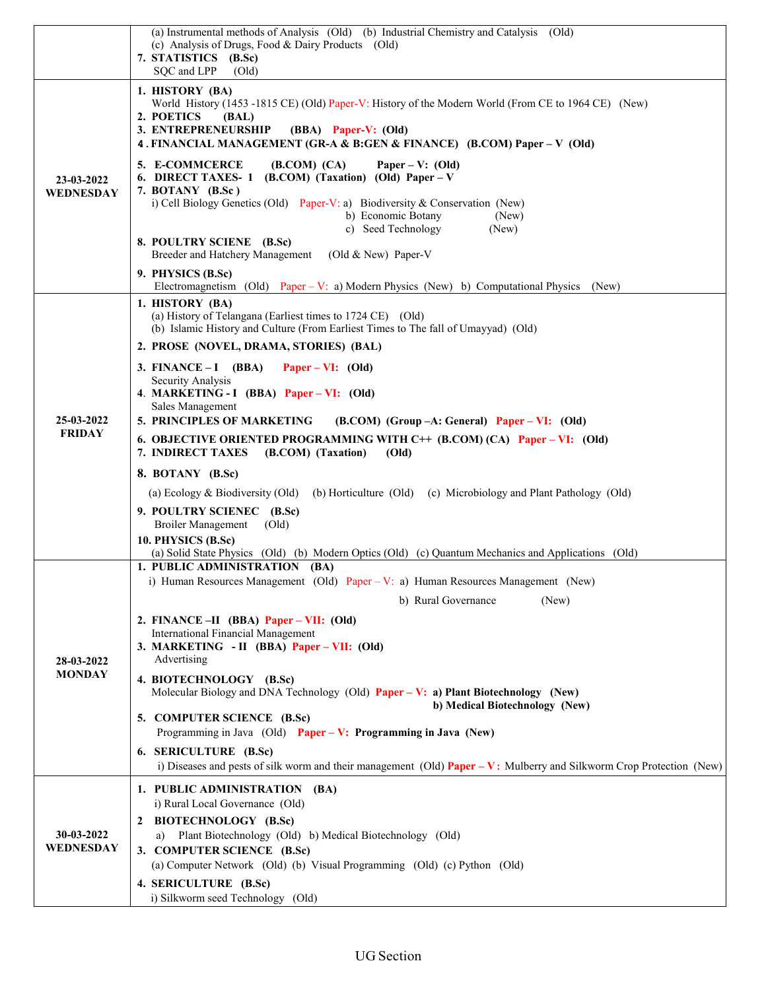|                                | (a) Instrumental methods of Analysis (Old) (b) Industrial Chemistry and Catalysis (Old)                                       |
|--------------------------------|-------------------------------------------------------------------------------------------------------------------------------|
|                                | (c) Analysis of Drugs, Food & Dairy Products (Old)<br>7. STATISTICS (B.Sc)                                                    |
|                                | SQC and LPP<br>$\text{(Old)}$                                                                                                 |
|                                | 1. HISTORY (BA)                                                                                                               |
|                                | World History (1453 -1815 CE) (Old) Paper-V: History of the Modern World (From CE to 1964 CE) (New)                           |
|                                | 2. POETICS<br>(BAL)<br>3. ENTREPRENEURSHIP<br>(BBA) Paper-V: (Old)                                                            |
|                                | 4. FINANCIAL MANAGEMENT (GR-A & B:GEN & FINANCE) (B.COM) Paper - V (Old)                                                      |
|                                | 5. E-COMMCERCE<br>(B. COM) (CA)<br>Paper – V: $(Old)$                                                                         |
| 23-03-2022<br><b>WEDNESDAY</b> | $(B. COM)$ (Taxation) (Old) Paper – V<br><b>6. DIRECT TAXES-1</b>                                                             |
|                                | 7. BOTANY (B.Sc)<br>i) Cell Biology Genetics (Old) Paper-V: a) Biodiversity & Conservation (New)                              |
|                                | b) Economic Botany<br>(New)                                                                                                   |
|                                | c) Seed Technology<br>(New)<br>8. POULTRY SCIENE (B.Sc)                                                                       |
|                                | Breeder and Hatchery Management<br>(Old $& New$ ) Paper-V                                                                     |
|                                | 9. PHYSICS (B.Sc)                                                                                                             |
|                                | Electromagnetism (Old) Paper – V: a) Modern Physics (New) b) Computational Physics<br>(New)                                   |
|                                | 1. HISTORY (BA)<br>(a) History of Telangana (Earliest times to 1724 CE) (Old)                                                 |
|                                | (b) Islamic History and Culture (From Earliest Times to The fall of Umayyad) (Old)                                            |
|                                | 2. PROSE (NOVEL, DRAMA, STORIES) (BAL)                                                                                        |
|                                | 3. FINANCE $-I$ (BBA)<br>Paper – VI: $(Old)$                                                                                  |
|                                | Security Analysis<br>4. MARKETING - I (BBA) Paper – VI: (Old)                                                                 |
|                                | Sales Management                                                                                                              |
| 25-03-2022<br><b>FRIDAY</b>    | 5. PRINCIPLES OF MARKETING<br>$(B. COM)$ (Group $-A$ : General) Paper – VI: (Old)                                             |
|                                | 6. OBJECTIVE ORIENTED PROGRAMMING WITH C++ (B.COM) (CA) Paper – VI: (Old)<br>7. INDIRECT TAXES<br>(B.COM) (Taxation)<br>(Old) |
|                                | 8. BOTANY (B.Sc)                                                                                                              |
|                                | (a) Ecology & Biodiversity (Old)<br>(b) Horticulture (Old) (c) Microbiology and Plant Pathology (Old)                         |
|                                | 9. POULTRY SCIENEC (B.Sc)                                                                                                     |
|                                | <b>Broiler Management</b><br>$\text{(Old)}$<br>10. PHYSICS (B.Sc)                                                             |
|                                | (a) Solid State Physics (Old) (b) Modern Optics (Old) (c) Quantum Mechanics and Applications (Old)                            |
|                                | 1. PUBLIC ADMINISTRATION (BA)                                                                                                 |
|                                | i) Human Resources Management (Old) Paper – V: a) Human Resources Management (New)                                            |
|                                | b) Rural Governance<br>(New)                                                                                                  |
|                                | 2. FINANCE - II (BBA) Paper - VII: (Old)<br><b>International Financial Management</b>                                         |
|                                | 3. MARKETING - II (BBA) Paper - VII: (Old)                                                                                    |
| 28-03-2022<br><b>MONDAY</b>    | Advertising                                                                                                                   |
|                                | 4. BIOTECHNOLOGY (B.Sc)<br>Molecular Biology and DNA Technology (Old) Paper - V: a) Plant Biotechnology (New)                 |
|                                | b) Medical Biotechnology (New)                                                                                                |
|                                | 5. COMPUTER SCIENCE (B.Sc)<br>Programming in Java (Old) Paper - V: Programming in Java (New)                                  |
|                                | 6. SERICULTURE (B.Sc)                                                                                                         |
|                                | i) Diseases and pests of silk worm and their management (Old) $Paper - V$ : Mulberry and Silkworm Crop Protection (New)       |
| 30-03-2022<br>WEDNESDAY        | 1. PUBLIC ADMINISTRATION (BA)                                                                                                 |
|                                | i) Rural Local Governance (Old)                                                                                               |
|                                | <b>BIOTECHNOLOGY (B.Sc)</b>                                                                                                   |
|                                | Plant Biotechnology (Old) b) Medical Biotechnology (Old)<br>a)                                                                |
|                                | 3. COMPUTER SCIENCE (B.Sc)<br>(a) Computer Network (Old) (b) Visual Programming (Old) (c) Python (Old)                        |
|                                | 4. SERICULTURE (B.Sc)                                                                                                         |
|                                | i) Silkworm seed Technology (Old)                                                                                             |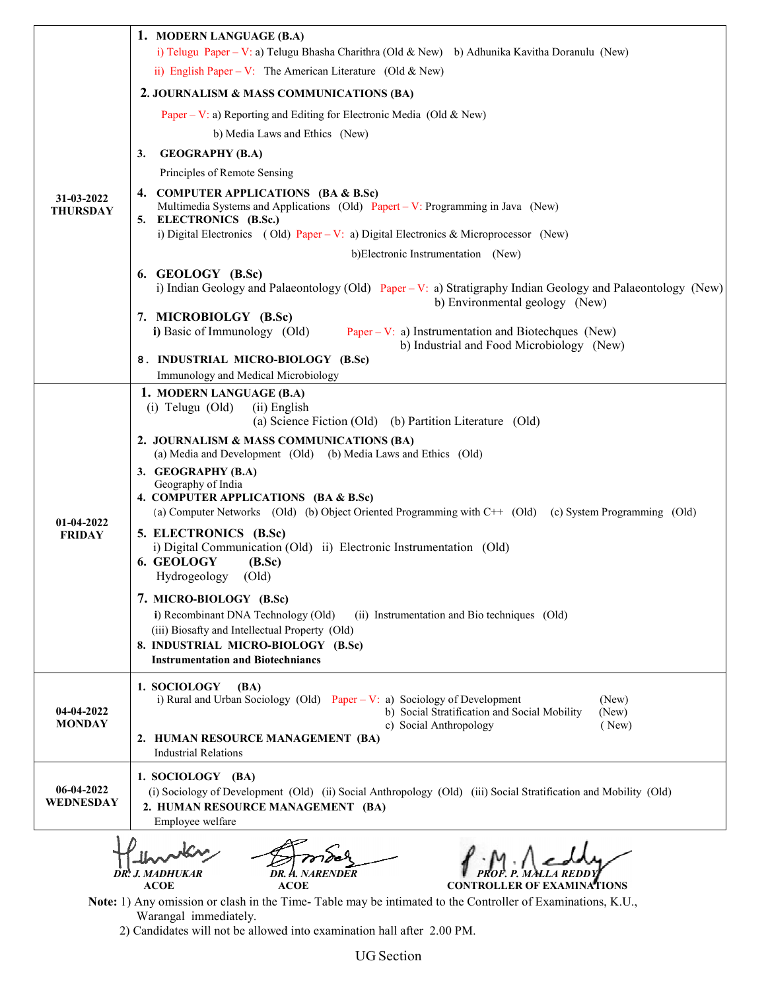|                               | 1. MODERN LANGUAGE (B.A)<br>i) Telugu Paper – V: a) Telugu Bhasha Charithra (Old & New) b) Adhunika Kavitha Doranulu (New)                                             |
|-------------------------------|------------------------------------------------------------------------------------------------------------------------------------------------------------------------|
|                               | ii) English Paper – V: The American Literature (Old & New)                                                                                                             |
|                               | 2. JOURNALISM & MASS COMMUNICATIONS (BA)                                                                                                                               |
|                               | Paper – V: a) Reporting and Editing for Electronic Media (Old & New)                                                                                                   |
|                               | b) Media Laws and Ethics (New)                                                                                                                                         |
|                               | <b>GEOGRAPHY (B.A)</b><br>3.                                                                                                                                           |
|                               | Principles of Remote Sensing                                                                                                                                           |
| 31-03-2022<br><b>THURSDAY</b> | 4. COMPUTER APPLICATIONS (BA & B.Sc)<br>Multimedia Systems and Applications (Old) Papert – V: Programming in Java (New)<br>5. ELECTRONICS (B.Sc.)                      |
|                               | i) Digital Electronics (Old) Paper – V: a) Digital Electronics & Microprocessor (New)                                                                                  |
|                               | b)Electronic Instrumentation (New)                                                                                                                                     |
|                               | 6. GEOLOGY (B.Sc)                                                                                                                                                      |
|                               | i) Indian Geology and Palaeontology (Old) Paper - V: a) Stratigraphy Indian Geology and Palaeontology (New)<br>b) Environmental geology (New)                          |
|                               | 7. MICROBIOLGY (B.Sc)<br>i) Basic of Immunology (Old)<br>Paper – V: a) Instrumentation and Biotechques (New)                                                           |
|                               | b) Industrial and Food Microbiology (New)                                                                                                                              |
|                               | 8. INDUSTRIAL MICRO-BIOLOGY (B.Sc)<br>Immunology and Medical Microbiology                                                                                              |
|                               | 1. MODERN LANGUAGE (B.A)                                                                                                                                               |
|                               | $(i)$ Telugu $(Old)$<br>(ii) English                                                                                                                                   |
|                               | (a) Science Fiction (Old) (b) Partition Literature (Old)                                                                                                               |
|                               | 2. JOURNALISM & MASS COMMUNICATIONS (BA)<br>(a) Media and Development (Old) (b) Media Laws and Ethics (Old)                                                            |
|                               | 3. GEOGRAPHY (B.A)<br>Geography of India                                                                                                                               |
|                               | 4. COMPUTER APPLICATIONS (BA & B.Sc)<br>(a) Computer Networks (Old) (b) Object Oriented Programming with C++ (Old) (c) System Programming (Old)                        |
| 01-04-2022                    | 5. ELECTRONICS (B.Sc)                                                                                                                                                  |
| <b>FRIDAY</b>                 | i) Digital Communication (Old) ii) Electronic Instrumentation (Old)                                                                                                    |
|                               | 6. GEOLOGY<br>(B.Sc)                                                                                                                                                   |
|                               | Hydrogeology<br>$\text{(Old)}$                                                                                                                                         |
|                               | 7. MICRO-BIOLOGY (B.Sc)                                                                                                                                                |
|                               | i) Recombinant DNA Technology (Old)<br>(ii) Instrumentation and Bio techniques (Old)<br>(iii) Biosafty and Intellectual Property (Old)                                 |
|                               | 8. INDUSTRIAL MICRO-BIOLOGY (B.Sc)                                                                                                                                     |
|                               | <b>Instrumentation and Biotechniancs</b>                                                                                                                               |
|                               | 1. SOCIOLOGY<br>(BA)<br>i) Rural and Urban Sociology (Old) Paper – V: a) Sociology of Development<br>(New)                                                             |
| 04-04-2022                    | b) Social Stratification and Social Mobility<br>(New)                                                                                                                  |
| <b>MONDAY</b>                 | c) Social Anthropology<br>(New)<br>2. HUMAN RESOURCE MANAGEMENT (BA)                                                                                                   |
|                               | <b>Industrial Relations</b>                                                                                                                                            |
|                               | 1. SOCIOLOGY (BA)                                                                                                                                                      |
| 06-04-2022<br>WEDNESDAY       | (i) Sociology of Development (Old) (ii) Social Anthropology (Old) (iii) Social Stratification and Mobility (Old)                                                       |
|                               | 2. HUMAN RESOURCE MANAGEMENT (BA)<br>Employee welfare                                                                                                                  |
|                               |                                                                                                                                                                        |
|                               |                                                                                                                                                                        |
|                               | DR.<br>J. MADHUKAR                                                                                                                                                     |
|                               | <b>ACOE</b><br>ACOE<br><b>CONTROLLER OF EXAMINATIONS</b><br>Note: 1) Any omission or clash in the Time-Table may be intimated to the Controller of Examinations, K.U., |

 Warangal immediately. 2) Candidates will not be allowed into examination hall after 2) Candidates will not be allowed into examination hall after 2.00 PM.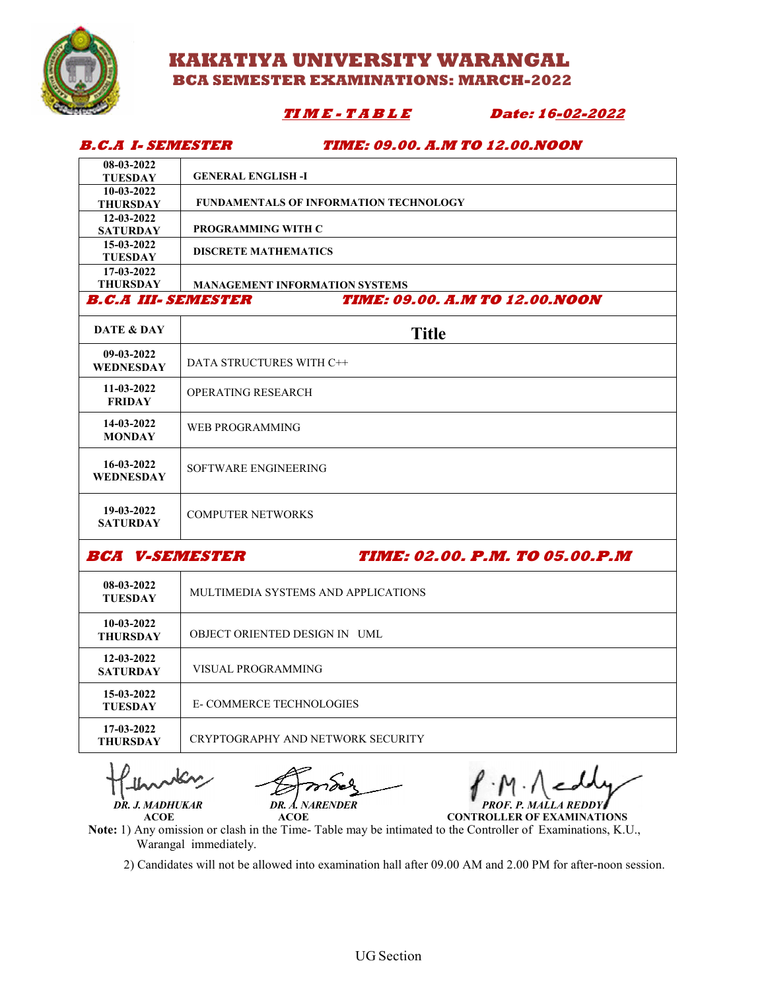

**B.C.A I- SEMESTER** 

# **KAKATIYA UNIVERSITY WARANGAL BCA SEMESTER SEMESTER EXAMINATIONS: MARCH-2022**

# $$

Date: 16<u>-02-2022</u>

#### **TIME: 09.00. A.M TO 12.00.NOON**

| <i>B.C.A L.SEMESTER</i>        | <i>TIME: 09.00. A.M TO 12.00.NOON</i>  |
|--------------------------------|----------------------------------------|
| 08-03-2022                     |                                        |
| <b>TUESDAY</b>                 | <b>GENERAL ENGLISH -I</b>              |
| 10-03-2022                     |                                        |
| <b>THURSDAY</b>                | FUNDAMENTALS OF INFORMATION TECHNOLOGY |
| 12-03-2022                     | PROGRAMMING WITH C                     |
| <b>SATURDAY</b><br>15-03-2022  |                                        |
| <b>TUESDAY</b>                 | <b>DISCRETE MATHEMATICS</b>            |
| 17-03-2022                     |                                        |
| <b>THURSDAY</b>                | <b>MANAGEMENT INFORMATION SYSTEMS</b>  |
| <b>B.C.A III. SEMESTER</b>     | <b>TIME: 09.00. A.M TO 12.00.NOON</b>  |
| DATE & DAY                     | <b>Title</b>                           |
| 09-03-2022<br><b>WEDNESDAY</b> | DATA STRUCTURES WITH C++               |
| 11-03-2022<br><b>FRIDAY</b>    | OPERATING RESEARCH                     |
| 14-03-2022<br><b>MONDAY</b>    | <b>WEB PROGRAMMING</b>                 |
| 16-03-2022<br>WEDNESDAY        | SOFTWARE ENGINEERING                   |
| 19-03-2022<br><b>SATURDAY</b>  | <b>COMPUTER NETWORKS</b>               |
| <b>BCA V-SEMESTER</b>          | <b>TIME: 02.00. P.M. TO 05.00.P.M</b>  |

| 08-03-2022<br><b>TUESDAY</b>    | MULTIMEDIA SYSTEMS AND APPLICATIONS |
|---------------------------------|-------------------------------------|
| $10-03-2022$<br><b>THURSDAY</b> | OBJECT ORIENTED DESIGN IN UML       |
| 12-03-2022<br><b>SATURDAY</b>   | VISUAL PROGRAMMING                  |
| 15-03-2022<br><b>TUESDAY</b>    | <b>E-COMMERCE TECHNOLOGIES</b>      |
| 17-03-2022<br><b>THURSDAY</b>   | CRYPTOGRAPHY AND NETWORK SECURITY   |

DR. J. MADHUKAR

ACOE ACOE

**DR. A. NARENDER** *PROF. P. MALLA REDDY* 

**CONTROLLER OF EXAMINATIONS**

Note: 1) Any omission or clash in the Time-Table may be intimated to the Controller of Examinations, K.U., Warangal immediately. (1) Any omission or clash in the Time-Table may be intimated to the Controller of Examinations, K.U., Warangal immediately.<br>2) Candidates will not be allowed into examination hall after 09.00 AM and 2.00 PM for after-noon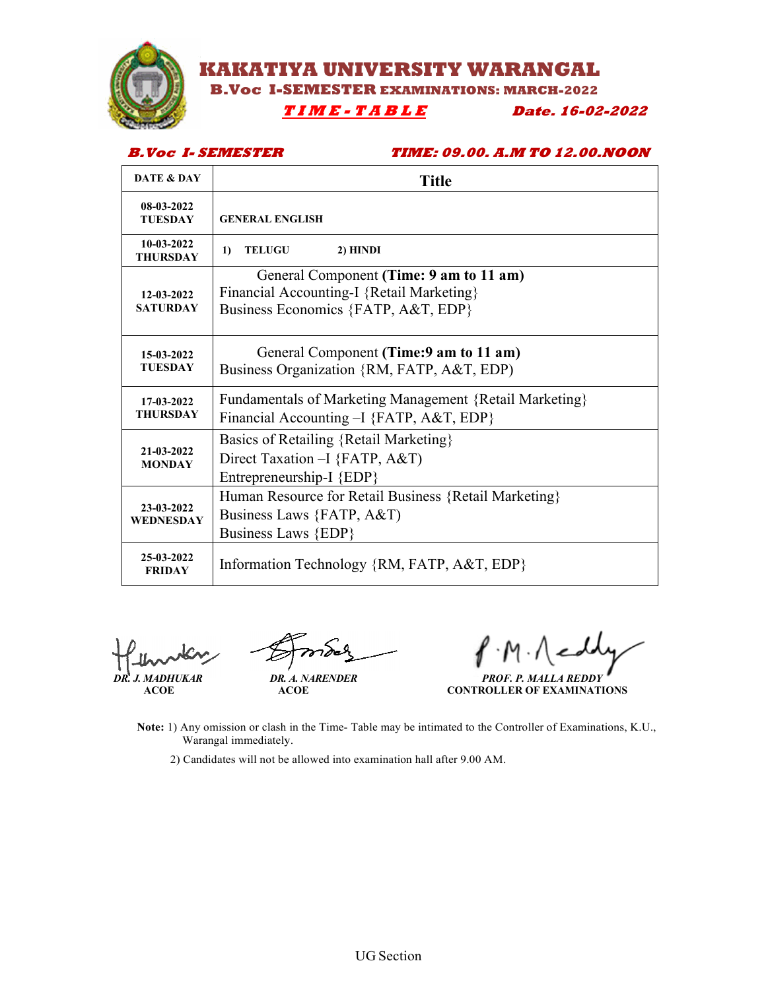

*MARAKATIYA UNIVERSITY WARANGAL* 

**EXAMINATIONS: MARCH-2022** 

# **I M E - T A B L E Date. 16**

**6-02-2022**

### **B.Voc I- SEMESTER**

**TIME: 09.00. A.M TO 12 12.00.NOON**

| <b>DATE &amp; DAY</b>          | <b>Title</b>                                                                                                                |
|--------------------------------|-----------------------------------------------------------------------------------------------------------------------------|
| 08-03-2022<br><b>TUESDAY</b>   | <b>GENERAL ENGLISH</b>                                                                                                      |
| 10-03-2022<br><b>THURSDAY</b>  | TELUGU<br>2) HINDI<br>$\bf{1}$                                                                                              |
| 12-03-2022<br><b>SATURDAY</b>  | General Component (Time: 9 am to 11 am)<br>Financial Accounting-I {Retail Marketing}<br>Business Economics {FATP, A&T, EDP} |
| 15-03-2022<br><b>TUESDAY</b>   | General Component (Time: 9 am to 11 am)<br>Business Organization {RM, FATP, A&T, EDP)                                       |
| 17-03-2022<br><b>THURSDAY</b>  | Fundamentals of Marketing Management {Retail Marketing}<br>Financial Accounting - [ {FATP, A&T, EDP}                        |
| 21-03-2022<br><b>MONDAY</b>    | Basics of Retailing {Retail Marketing}<br>Direct Taxation - [{FATP, A&T}<br>Entrepreneurship-I {EDP}                        |
| 23-03-2022<br><b>WEDNESDAY</b> | Human Resource for Retail Business {Retail Marketing}<br>Business Laws {FATP, A&T}<br>Business Laws {EDP}                   |
| 25-03-2022<br><b>FRIDAY</b>    | Information Technology {RM, FATP, A&T, EDP}                                                                                 |

 *DR. J. MADHUKAR DR. A. NARENDER*

 **ACOE ACOE**

*MADHUKAR PROF. P. MALLA REDDY* **CONTROLLER OF EXAMINATIONS**

- Note: 1) Any omission or clash in the Time- Table may be intimated to the Controller of Examinations, K.U., Warangal immediately.
	- Warangal immediately.<br>2) Candidates will not be allowed into examination hall after 9.00 AM.